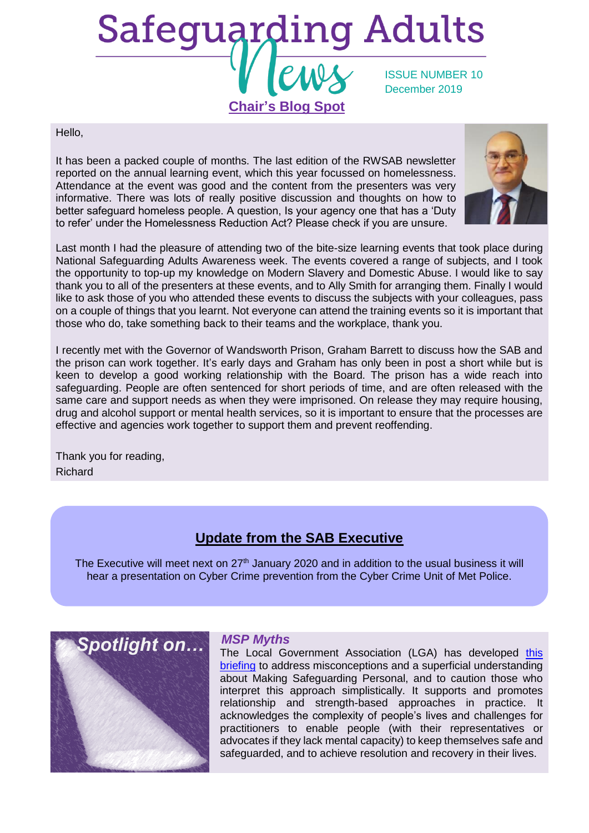# **Safeguarding Adults** ISSUE NUMBER 10 December 2019 **Chair's Blog Spot**

#### Hello,

It has been a packed couple of months. The last edition of the RWSAB newsletter reported on the annual learning event, which this year focussed on homelessness. Attendance at the event was good and the content from the presenters was very informative. There was lots of really positive discussion and thoughts on how to better safeguard homeless people. A question, Is your agency one that has a 'Duty to refer' under the Homelessness Reduction Act? Please check if you are unsure.



Last month I had the pleasure of attending two of the bite-size learning events that took place during National Safeguarding Adults Awareness week. The events covered a range of subjects, and I took the opportunity to top-up my knowledge on Modern Slavery and Domestic Abuse. I would like to say thank you to all of the presenters at these events, and to Ally Smith for arranging them. Finally I would like to ask those of you who attended these events to discuss the subjects with your colleagues, pass on a couple of things that you learnt. Not everyone can attend the training events so it is important that those who do, take something back to their teams and the workplace, thank you.

I recently met with the Governor of Wandsworth Prison, Graham Barrett to discuss how the SAB and the prison can work together. It's early days and Graham has only been in post a short while but is keen to develop a good working relationship with the Board. The prison has a wide reach into safeguarding. People are often sentenced for short periods of time, and are often released with the same care and support needs as when they were imprisoned. On release they may require housing, drug and alcohol support or mental health services, so it is important to ensure that the processes are effective and agencies work together to support them and prevent reoffending.

Thank you for reading, Richard

# **Update from the SAB Executive**

The Executive will meet next on  $27<sup>th</sup>$  January 2020 and in addition to the usual business it will hear a presentation on Cyber Crime prevention from the Cyber Crime Unit of Met Police.



### *MSP Myths*

The Local Government Association (LGA) has developed this [briefing](https://local.gov.uk/sites/default/files/documents/25.144%20MSP%20Myths_04%20WEB.pdf) to address misconceptions and a superficial understanding about Making Safeguarding Personal, and to caution those who interpret this approach simplistically. It supports and promotes relationship and strength-based approaches in practice. It acknowledges the complexity of people's lives and challenges for practitioners to enable people (with their representatives or advocates if they lack mental capacity) to keep themselves safe and safeguarded, and to achieve resolution and recovery in their lives.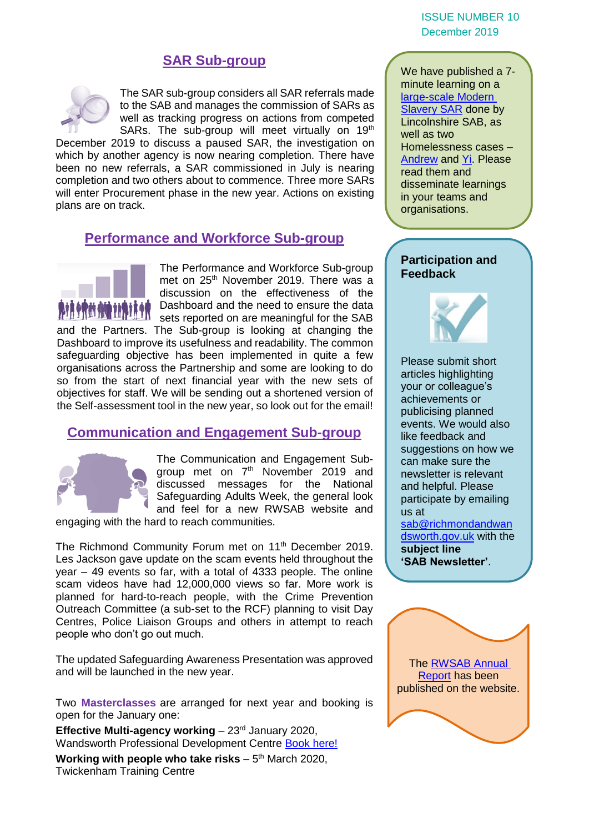#### ISSUE NUMBER 10 December 2019

## **SAR Sub-group**



The SAR sub-group considers all SAR referrals made to the SAB and manages the commission of SARs as well as tracking progress on actions from competed SARs. The sub-group will meet virtually on 19<sup>th</sup>

December 2019 to discuss a paused SAR, the investigation on which by another agency is now nearing completion. There have been no new referrals, a SAR commissioned in July is nearing completion and two others about to commence. Three more SARs will enter Procurement phase in the new year. Actions on existing plans are on track.

## **Performance and Workforce Sub-group**



The Performance and Workforce Sub-group met on 25<sup>th</sup> November 2019. There was a discussion on the effectiveness of the Dashboard and the need to ensure the data sets reported on are meaningful for the SAB

and the Partners. The Sub-group is looking at changing the Dashboard to improve its usefulness and readability. The common safeguarding objective has been implemented in quite a few organisations across the Partnership and some are looking to do so from the start of next financial year with the new sets of objectives for staff. We will be sending out a shortened version of the Self-assessment tool in the new year, so look out for the email!

## **Communication and Engagement Sub-group**



The Communication and Engagement Subgroup met on 7th November 2019 and discussed messages for the National Safeguarding Adults Week, the general look and feel for a new RWSAB website and

engaging with the hard to reach communities.

The Richmond Community Forum met on 11<sup>th</sup> December 2019. Les Jackson gave update on the scam events held throughout the year – 49 events so far, with a total of 4333 people. The online scam videos have had 12,000,000 views so far. More work is planned for hard-to-reach people, with the Crime Prevention Outreach Committee (a sub-set to the RCF) planning to visit Day Centres, Police Liaison Groups and others in attempt to reach people who don't go out much.

The updated Safeguarding Awareness Presentation was approved and will be launched in the new year.

Two **Masterclasses** are arranged for next year and booking is open for the January one:

**Effective Multi-agency working** – 23<sup>rd</sup> January 2020, Wandsworth Professional Development Centre [Book here!](https://www.eventbrite.co.uk/e/rwsab-masterclass-effective-multi-agency-working-tickets-86797931951)

Working with people who take risks – 5<sup>th</sup> March 2020, Twickenham Training Centre

We have published a 7 minute learning on a [large-scale Modern](https://www.richmond.gov.uk/media/18313/large_scale_modern_slavery_sar_seven_minute_briefing.pdf)  [Slavery SAR](https://www.richmond.gov.uk/media/18313/large_scale_modern_slavery_sar_seven_minute_briefing.pdf) done by Lincolnshire SAB, as well as two Homelessness cases – [Andrew](https://www.richmond.gov.uk/media/18315/andrew_sar_seven_minute_briefing.pdf) and [Yi.](https://www.richmond.gov.uk/media/18314/yi_sar_seven_minute_briefing.pdf) Please read them and disseminate learnings in your teams and organisations.

#### **Participation and Feedback**



Please submit short articles highlighting your or colleague's achievements or publicising planned events. We would also like feedback and suggestions on how we can make sure the newsletter is relevant and helpful. Please participate by emailing us at [sab@richmondandwan](mailto:sab@richmondandwandsworth.gov.uk)

[dsworth.gov.uk](mailto:sab@richmondandwandsworth.gov.uk) with the **subject line 'SAB Newsletter'**.